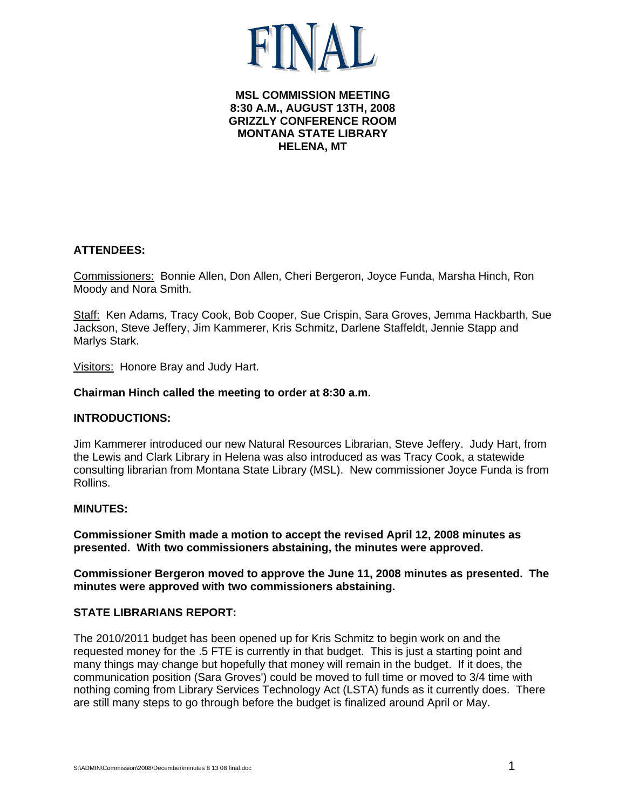# **MSL COMMISSION MEETING 8:30 A.M., AUGUST 13TH, 2008 GRIZZLY CONFERENCE ROOM MONTANA STATE LIBRARY HELENA, MT**

# **ATTENDEES:**

Commissioners: Bonnie Allen, Don Allen, Cheri Bergeron, Joyce Funda, Marsha Hinch, Ron Moody and Nora Smith.

Staff: Ken Adams, Tracy Cook, Bob Cooper, Sue Crispin, Sara Groves, Jemma Hackbarth, Sue Jackson, Steve Jeffery, Jim Kammerer, Kris Schmitz, Darlene Staffeldt, Jennie Stapp and Marlys Stark.

Visitors: Honore Bray and Judy Hart.

### **Chairman Hinch called the meeting to order at 8:30 a.m.**

## **INTRODUCTIONS:**

Jim Kammerer introduced our new Natural Resources Librarian, Steve Jeffery. Judy Hart, from the Lewis and Clark Library in Helena was also introduced as was Tracy Cook, a statewide consulting librarian from Montana State Library (MSL). New commissioner Joyce Funda is from Rollins.

#### **MINUTES:**

**Commissioner Smith made a motion to accept the revised April 12, 2008 minutes as presented. With two commissioners abstaining, the minutes were approved.** 

**Commissioner Bergeron moved to approve the June 11, 2008 minutes as presented. The minutes were approved with two commissioners abstaining.** 

## **STATE LIBRARIANS REPORT:**

The 2010/2011 budget has been opened up for Kris Schmitz to begin work on and the requested money for the .5 FTE is currently in that budget. This is just a starting point and many things may change but hopefully that money will remain in the budget. If it does, the communication position (Sara Groves') could be moved to full time or moved to 3/4 time with nothing coming from Library Services Technology Act (LSTA) funds as it currently does. There are still many steps to go through before the budget is finalized around April or May.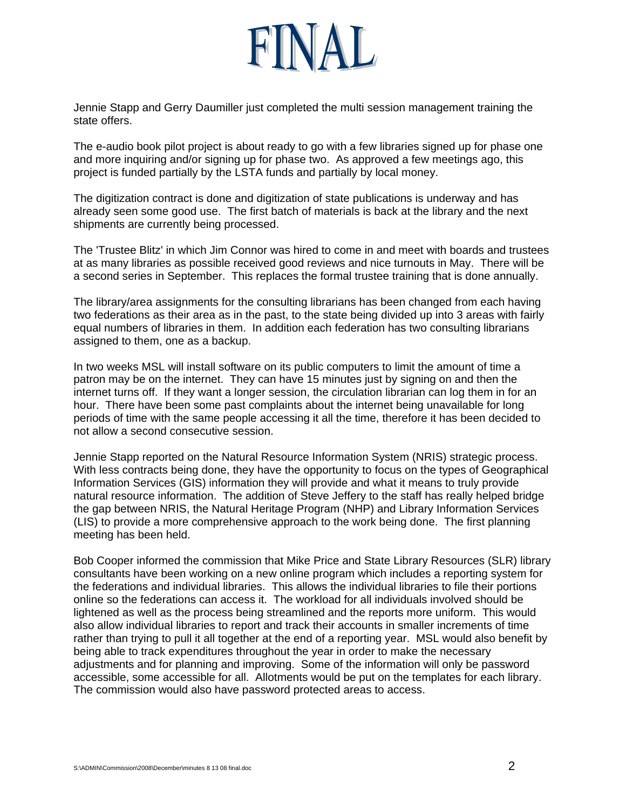

Jennie Stapp and Gerry Daumiller just completed the multi session management training the state offers.

The e-audio book pilot project is about ready to go with a few libraries signed up for phase one and more inquiring and/or signing up for phase two. As approved a few meetings ago, this project is funded partially by the LSTA funds and partially by local money.

The digitization contract is done and digitization of state publications is underway and has already seen some good use. The first batch of materials is back at the library and the next shipments are currently being processed.

The 'Trustee Blitz' in which Jim Connor was hired to come in and meet with boards and trustees at as many libraries as possible received good reviews and nice turnouts in May. There will be a second series in September. This replaces the formal trustee training that is done annually.

The library/area assignments for the consulting librarians has been changed from each having two federations as their area as in the past, to the state being divided up into 3 areas with fairly equal numbers of libraries in them. In addition each federation has two consulting librarians assigned to them, one as a backup.

In two weeks MSL will install software on its public computers to limit the amount of time a patron may be on the internet. They can have 15 minutes just by signing on and then the internet turns off. If they want a longer session, the circulation librarian can log them in for an hour. There have been some past complaints about the internet being unavailable for long periods of time with the same people accessing it all the time, therefore it has been decided to not allow a second consecutive session.

Jennie Stapp reported on the Natural Resource Information System (NRIS) strategic process. With less contracts being done, they have the opportunity to focus on the types of Geographical Information Services (GIS) information they will provide and what it means to truly provide natural resource information. The addition of Steve Jeffery to the staff has really helped bridge the gap between NRIS, the Natural Heritage Program (NHP) and Library Information Services (LIS) to provide a more comprehensive approach to the work being done. The first planning meeting has been held.

Bob Cooper informed the commission that Mike Price and State Library Resources (SLR) library consultants have been working on a new online program which includes a reporting system for the federations and individual libraries. This allows the individual libraries to file their portions online so the federations can access it. The workload for all individuals involved should be lightened as well as the process being streamlined and the reports more uniform. This would also allow individual libraries to report and track their accounts in smaller increments of time rather than trying to pull it all together at the end of a reporting year. MSL would also benefit by being able to track expenditures throughout the year in order to make the necessary adjustments and for planning and improving. Some of the information will only be password accessible, some accessible for all. Allotments would be put on the templates for each library. The commission would also have password protected areas to access.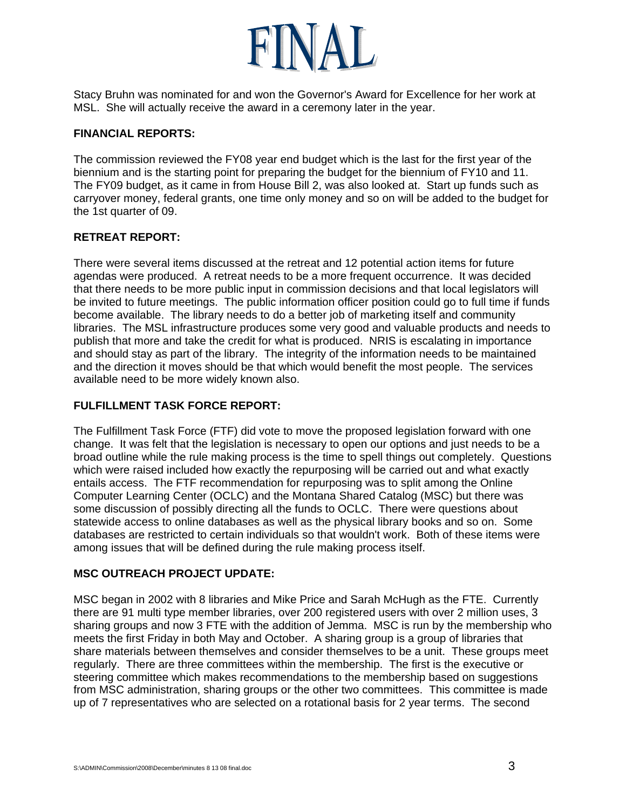

Stacy Bruhn was nominated for and won the Governor's Award for Excellence for her work at MSL. She will actually receive the award in a ceremony later in the year.

## **FINANCIAL REPORTS:**

The commission reviewed the FY08 year end budget which is the last for the first year of the biennium and is the starting point for preparing the budget for the biennium of FY10 and 11. The FY09 budget, as it came in from House Bill 2, was also looked at. Start up funds such as carryover money, federal grants, one time only money and so on will be added to the budget for the 1st quarter of 09.

# **RETREAT REPORT:**

There were several items discussed at the retreat and 12 potential action items for future agendas were produced. A retreat needs to be a more frequent occurrence. It was decided that there needs to be more public input in commission decisions and that local legislators will be invited to future meetings. The public information officer position could go to full time if funds become available. The library needs to do a better job of marketing itself and community libraries. The MSL infrastructure produces some very good and valuable products and needs to publish that more and take the credit for what is produced. NRIS is escalating in importance and should stay as part of the library. The integrity of the information needs to be maintained and the direction it moves should be that which would benefit the most people. The services available need to be more widely known also.

# **FULFILLMENT TASK FORCE REPORT:**

The Fulfillment Task Force (FTF) did vote to move the proposed legislation forward with one change. It was felt that the legislation is necessary to open our options and just needs to be a broad outline while the rule making process is the time to spell things out completely. Questions which were raised included how exactly the repurposing will be carried out and what exactly entails access. The FTF recommendation for repurposing was to split among the Online Computer Learning Center (OCLC) and the Montana Shared Catalog (MSC) but there was some discussion of possibly directing all the funds to OCLC. There were questions about statewide access to online databases as well as the physical library books and so on. Some databases are restricted to certain individuals so that wouldn't work. Both of these items were among issues that will be defined during the rule making process itself.

# **MSC OUTREACH PROJECT UPDATE:**

MSC began in 2002 with 8 libraries and Mike Price and Sarah McHugh as the FTE. Currently there are 91 multi type member libraries, over 200 registered users with over 2 million uses, 3 sharing groups and now 3 FTE with the addition of Jemma. MSC is run by the membership who meets the first Friday in both May and October. A sharing group is a group of libraries that share materials between themselves and consider themselves to be a unit. These groups meet regularly. There are three committees within the membership. The first is the executive or steering committee which makes recommendations to the membership based on suggestions from MSC administration, sharing groups or the other two committees. This committee is made up of 7 representatives who are selected on a rotational basis for 2 year terms. The second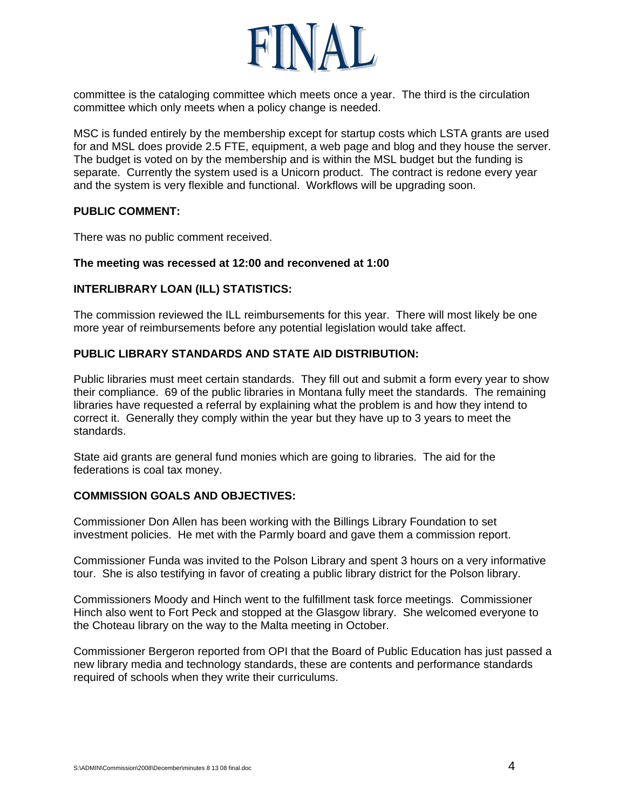

committee is the cataloging committee which meets once a year. The third is the circulation committee which only meets when a policy change is needed.

MSC is funded entirely by the membership except for startup costs which LSTA grants are used for and MSL does provide 2.5 FTE, equipment, a web page and blog and they house the server. The budget is voted on by the membership and is within the MSL budget but the funding is separate. Currently the system used is a Unicorn product. The contract is redone every year and the system is very flexible and functional. Workflows will be upgrading soon.

### **PUBLIC COMMENT:**

There was no public comment received.

### **The meeting was recessed at 12:00 and reconvened at 1:00**

## **INTERLIBRARY LOAN (ILL) STATISTICS:**

The commission reviewed the ILL reimbursements for this year. There will most likely be one more year of reimbursements before any potential legislation would take affect.

### **PUBLIC LIBRARY STANDARDS AND STATE AID DISTRIBUTION:**

Public libraries must meet certain standards. They fill out and submit a form every year to show their compliance. 69 of the public libraries in Montana fully meet the standards. The remaining libraries have requested a referral by explaining what the problem is and how they intend to correct it. Generally they comply within the year but they have up to 3 years to meet the standards.

State aid grants are general fund monies which are going to libraries. The aid for the federations is coal tax money.

# **COMMISSION GOALS AND OBJECTIVES:**

Commissioner Don Allen has been working with the Billings Library Foundation to set investment policies. He met with the Parmly board and gave them a commission report.

Commissioner Funda was invited to the Polson Library and spent 3 hours on a very informative tour. She is also testifying in favor of creating a public library district for the Polson library.

Commissioners Moody and Hinch went to the fulfillment task force meetings. Commissioner Hinch also went to Fort Peck and stopped at the Glasgow library. She welcomed everyone to the Choteau library on the way to the Malta meeting in October.

Commissioner Bergeron reported from OPI that the Board of Public Education has just passed a new library media and technology standards, these are contents and performance standards required of schools when they write their curriculums.